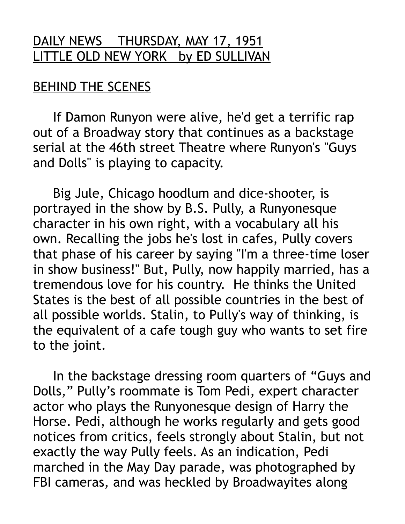## DAILY NEWS THURSDAY, MAY 17, 1951 LITTLE OLD NEW YORK by ED SULLIVAN

## BEHIND THE SCENES

 If Damon Runyon were alive, he'd get a terrific rap out of a Broadway story that continues as a backstage serial at the 46th street Theatre where Runyon's "Guys and Dolls" is playing to capacity.

 Big Jule, Chicago hoodlum and dice-shooter, is portrayed in the show by B.S. Pully, a Runyonesque character in his own right, with a vocabulary all his own. Recalling the jobs he's lost in cafes, Pully covers that phase of his career by saying "I'm a three-time loser in show business!" But, Pully, now happily married, has a tremendous love for his country. He thinks the United States is the best of all possible countries in the best of all possible worlds. Stalin, to Pully's way of thinking, is the equivalent of a cafe tough guy who wants to set fire to the joint.

 In the backstage dressing room quarters of "Guys and Dolls," Pully's roommate is Tom Pedi, expert character actor who plays the Runyonesque design of Harry the Horse. Pedi, although he works regularly and gets good notices from critics, feels strongly about Stalin, but not exactly the way Pully feels. As an indication, Pedi marched in the May Day parade, was photographed by FBI cameras, and was heckled by Broadwayites along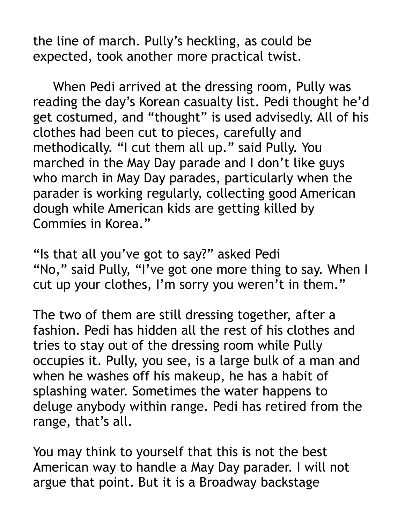the line of march. Pully's heckling, as could be expected, took another more practical twist.

 When Pedi arrived at the dressing room, Pully was reading the day's Korean casualty list. Pedi thought he'd get costumed, and "thought" is used advisedly. All of his clothes had been cut to pieces, carefully and methodically. "I cut them all up." said Pully. You marched in the May Day parade and I don't like guys who march in May Day parades, particularly when the parader is working regularly, collecting good American dough while American kids are getting killed by Commies in Korea."

"Is that all you've got to say?" asked Pedi "No," said Pully, "I've got one more thing to say. When I cut up your clothes, I'm sorry you weren't in them."

The two of them are still dressing together, after a fashion. Pedi has hidden all the rest of his clothes and tries to stay out of the dressing room while Pully occupies it. Pully, you see, is a large bulk of a man and when he washes off his makeup, he has a habit of splashing water. Sometimes the water happens to deluge anybody within range. Pedi has retired from the range, that's all.

You may think to yourself that this is not the best American way to handle a May Day parader. I will not argue that point. But it is a Broadway backstage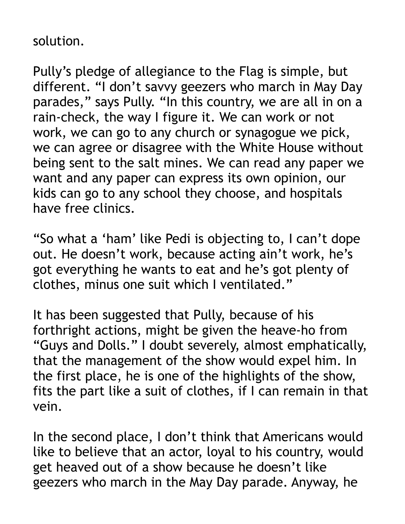## solution.

Pully's pledge of allegiance to the Flag is simple, but different. "I don't savvy geezers who march in May Day parades," says Pully. "In this country, we are all in on a rain-check, the way I figure it. We can work or not work, we can go to any church or synagogue we pick, we can agree or disagree with the White House without being sent to the salt mines. We can read any paper we want and any paper can express its own opinion, our kids can go to any school they choose, and hospitals have free clinics.

"So what a 'ham' like Pedi is objecting to, I can't dope out. He doesn't work, because acting ain't work, he's got everything he wants to eat and he's got plenty of clothes, minus one suit which I ventilated."

It has been suggested that Pully, because of his forthright actions, might be given the heave-ho from "Guys and Dolls." I doubt severely, almost emphatically, that the management of the show would expel him. In the first place, he is one of the highlights of the show, fits the part like a suit of clothes, if I can remain in that vein.

In the second place, I don't think that Americans would like to believe that an actor, loyal to his country, would get heaved out of a show because he doesn't like geezers who march in the May Day parade. Anyway, he